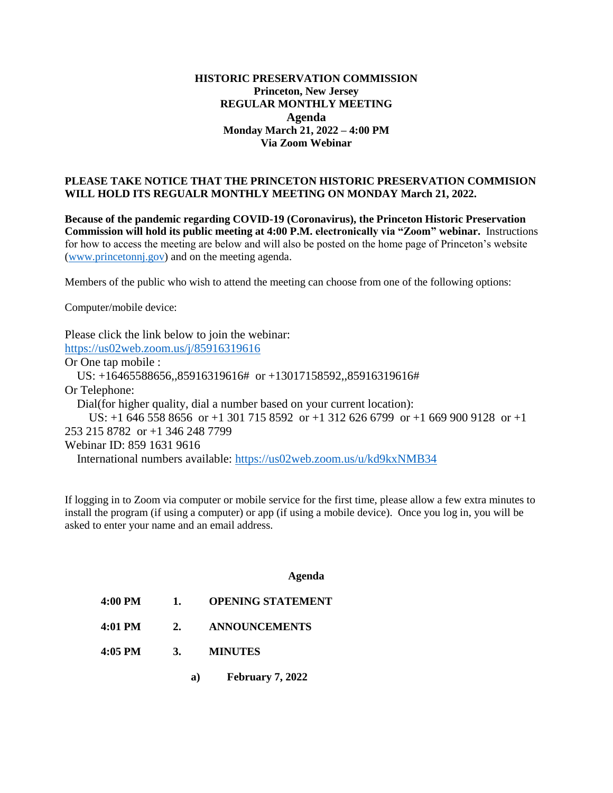## **HISTORIC PRESERVATION COMMISSION Princeton, New Jersey REGULAR MONTHLY MEETING Agenda Monday March 21, 2022 – 4:00 PM Via Zoom Webinar**

## **PLEASE TAKE NOTICE THAT THE PRINCETON HISTORIC PRESERVATION COMMISION WILL HOLD ITS REGUALR MONTHLY MEETING ON MONDAY March 21, 2022.**

**Because of the pandemic regarding COVID-19 (Coronavirus), the Princeton Historic Preservation Commission will hold its public meeting at 4:00 P.M. electronically via "Zoom" webinar.** Instructions for how to access the meeting are below and will also be posted on the home page of Princeton's website [\(www.princetonnj.gov\)](http://www.princetonnj.gov/) and on the meeting agenda.

Members of the public who wish to attend the meeting can choose from one of the following options:

Computer/mobile device:

Please click the link below to join the webinar: <https://us02web.zoom.us/j/85916319616> Or One tap mobile : US: +16465588656,,85916319616# or +13017158592,,85916319616# Or Telephone: Dial(for higher quality, dial a number based on your current location): US: +1 646 558 8656 or +1 301 715 8592 or +1 312 626 6799 or +1 669 900 9128 or +1 253 215 8782 or +1 346 248 7799 Webinar ID: 859 1631 9616 International numbers available:<https://us02web.zoom.us/u/kd9kxNMB34>

If logging in to Zoom via computer or mobile service for the first time, please allow a few extra minutes to install the program (if using a computer) or app (if using a mobile device). Once you log in, you will be asked to enter your name and an email address.

## **Agenda**

- **4:00 PM 1. OPENING STATEMENT**
- **4:01 PM 2. ANNOUNCEMENTS**
- **4:05 PM 3. MINUTES**
	- **a) February 7, 2022**